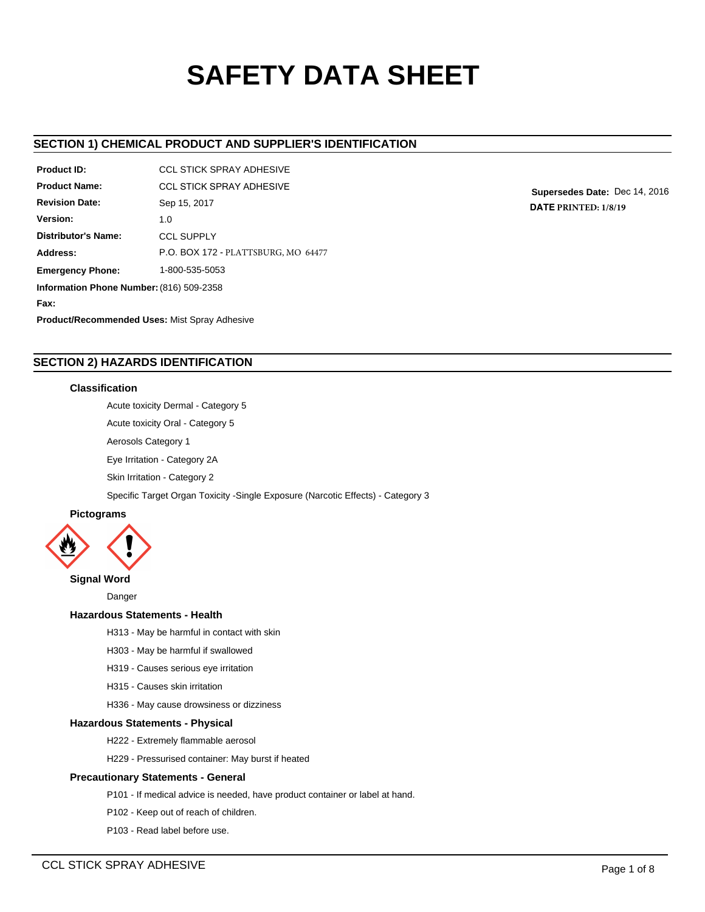# **SAFETY DATA SHEET**

# **SECTION 1) CHEMICAL PRODUCT AND SUPPLIER'S IDENTIFICATION**

| Product ID:                                          | CCL STICK SPRAY ADHESIVE            |  |  |  |
|------------------------------------------------------|-------------------------------------|--|--|--|
| <b>Product Name:</b>                                 | <b>CCL STICK SPRAY ADHESIVE</b>     |  |  |  |
| <b>Revision Date:</b>                                | Sep 15, 2017                        |  |  |  |
| Version:                                             | 1.0                                 |  |  |  |
| Distributor's Name:                                  | <b>CCL SUPPLY</b>                   |  |  |  |
| Address:                                             | P.O. BOX 172 - PLATTSBURG, MO 64477 |  |  |  |
| <b>Emergency Phone:</b>                              | 1-800-535-5053                      |  |  |  |
| Information Phone Number: (816) 509-2358             |                                     |  |  |  |
| Fax:                                                 |                                     |  |  |  |
| <b>Product/Recommended Uses: Mist Spray Adhesive</b> |                                     |  |  |  |

**Supersedes Date:** Dec 14, 2016 **DATE PRINTED: 1/8/19**

# **SECTION 2) HAZARDS IDENTIFICATION**

## **Classification**

Acute toxicity Dermal - Category 5

Acute toxicity Oral - Category 5

Aerosols Category 1

Eye Irritation - Category 2A

Skin Irritation - Category 2

Specific Target Organ Toxicity -Single Exposure (Narcotic Effects) - Category 3



## **Signal Word**

Danger

## **Hazardous Statements - Health**

- H313 May be harmful in contact with skin
- H303 May be harmful if swallowed
- H319 Causes serious eye irritation
- H315 Causes skin irritation
- H336 May cause drowsiness or dizziness

## **Hazardous Statements - Physical**

- H222 Extremely flammable aerosol
- H229 Pressurised container: May burst if heated

## **Precautionary Statements - General**

- P101 If medical advice is needed, have product container or label at hand.
- P102 Keep out of reach of children.
- P103 Read label before use.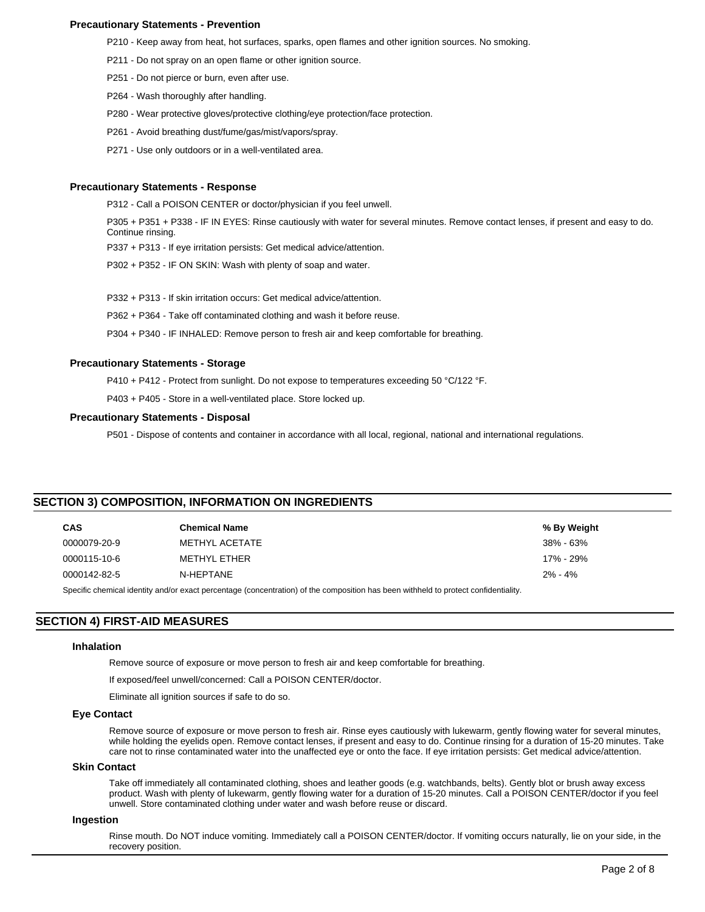## **Precautionary Statements - Prevention**

P210 - Keep away from heat, hot surfaces, sparks, open flames and other ignition sources. No smoking.

- P211 Do not spray on an open flame or other ignition source.
- P251 Do not pierce or burn, even after use.
- P264 Wash thoroughly after handling.
- P280 Wear protective gloves/protective clothing/eye protection/face protection.
- P261 Avoid breathing dust/fume/gas/mist/vapors/spray.
- P271 Use only outdoors or in a well-ventilated area.

#### **Precautionary Statements - Response**

P312 - Call a POISON CENTER or doctor/physician if you feel unwell.

P305 + P351 + P338 - IF IN EYES: Rinse cautiously with water for several minutes. Remove contact lenses, if present and easy to do. Continue rinsing.

P337 + P313 - If eye irritation persists: Get medical advice/attention.

P302 + P352 - IF ON SKIN: Wash with plenty of soap and water.

P332 + P313 - If skin irritation occurs: Get medical advice/attention.

P362 + P364 - Take off contaminated clothing and wash it before reuse.

P304 + P340 - IF INHALED: Remove person to fresh air and keep comfortable for breathing.

#### **Precautionary Statements - Storage**

P410 + P412 - Protect from sunlight. Do not expose to temperatures exceeding 50 °C/122 °F.

P403 + P405 - Store in a well-ventilated place. Store locked up.

#### **Precautionary Statements - Disposal**

P501 - Dispose of contents and container in accordance with all local, regional, national and international regulations.

## **SECTION 3) COMPOSITION, INFORMATION ON INGREDIENTS**

| <b>CAS</b>   | <b>Chemical Name</b> | % By Weight |
|--------------|----------------------|-------------|
| 0000079-20-9 | METHYL ACETATE       | 38% - 63%   |
| 0000115-10-6 | METHYL ETHER         | 17% - 29%   |
| 0000142-82-5 | N-HEPTANE            | $2\% - 4\%$ |

Specific chemical identity and/or exact percentage (concentration) of the composition has been withheld to protect confidentiality.

## **SECTION 4) FIRST-AID MEASURES**

#### **Inhalation**

Remove source of exposure or move person to fresh air and keep comfortable for breathing.

If exposed/feel unwell/concerned: Call a POISON CENTER/doctor.

Eliminate all ignition sources if safe to do so.

## **Eye Contact**

Remove source of exposure or move person to fresh air. Rinse eyes cautiously with lukewarm, gently flowing water for several minutes, while holding the eyelids open. Remove contact lenses, if present and easy to do. Continue rinsing for a duration of 15-20 minutes. Take care not to rinse contaminated water into the unaffected eye or onto the face. If eye irritation persists: Get medical advice/attention.

## **Skin Contact**

Take off immediately all contaminated clothing, shoes and leather goods (e.g. watchbands, belts). Gently blot or brush away excess product. Wash with plenty of lukewarm, gently flowing water for a duration of 15-20 minutes. Call a POISON CENTER/doctor if you feel unwell. Store contaminated clothing under water and wash before reuse or discard.

#### **Ingestion**

Rinse mouth. Do NOT induce vomiting. Immediately call a POISON CENTER/doctor. If vomiting occurs naturally, lie on your side, in the recovery position.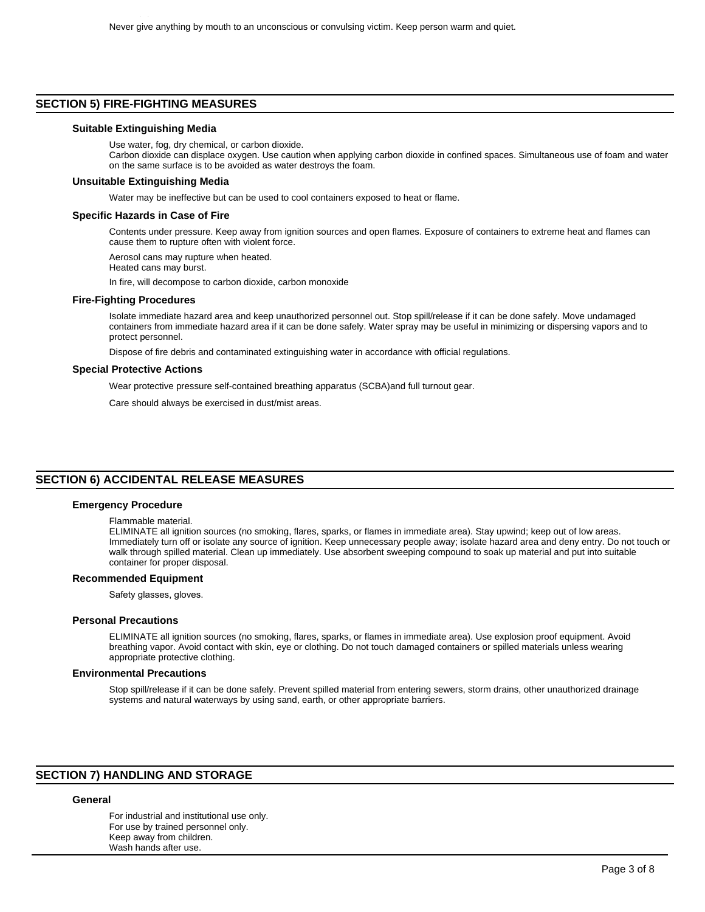## **SECTION 5) FIRE-FIGHTING MEASURES**

#### **Suitable Extinguishing Media**

Use water, fog, dry chemical, or carbon dioxide. Carbon dioxide can displace oxygen. Use caution when applying carbon dioxide in confined spaces. Simultaneous use of foam and water on the same surface is to be avoided as water destroys the foam.

#### **Unsuitable Extinguishing Media**

Water may be ineffective but can be used to cool containers exposed to heat or flame.

#### **Specific Hazards in Case of Fire**

Contents under pressure. Keep away from ignition sources and open flames. Exposure of containers to extreme heat and flames can cause them to rupture often with violent force.

Aerosol cans may rupture when heated.

Heated cans may burst.

In fire, will decompose to carbon dioxide, carbon monoxide

#### **Fire-Fighting Procedures**

Isolate immediate hazard area and keep unauthorized personnel out. Stop spill/release if it can be done safely. Move undamaged containers from immediate hazard area if it can be done safely. Water spray may be useful in minimizing or dispersing vapors and to protect personnel.

Dispose of fire debris and contaminated extinguishing water in accordance with official regulations.

#### **Special Protective Actions**

Wear protective pressure self-contained breathing apparatus (SCBA)and full turnout gear.

Care should always be exercised in dust/mist areas.

## **SECTION 6) ACCIDENTAL RELEASE MEASURES**

#### **Emergency Procedure**

Flammable material.

ELIMINATE all ignition sources (no smoking, flares, sparks, or flames in immediate area). Stay upwind; keep out of low areas. Immediately turn off or isolate any source of ignition. Keep unnecessary people away; isolate hazard area and deny entry. Do not touch or walk through spilled material. Clean up immediately. Use absorbent sweeping compound to soak up material and put into suitable container for proper disposal.

#### **Recommended Equipment**

Safety glasses, gloves.

#### **Personal Precautions**

ELIMINATE all ignition sources (no smoking, flares, sparks, or flames in immediate area). Use explosion proof equipment. Avoid breathing vapor. Avoid contact with skin, eye or clothing. Do not touch damaged containers or spilled materials unless wearing appropriate protective clothing.

#### **Environmental Precautions**

Stop spill/release if it can be done safely. Prevent spilled material from entering sewers, storm drains, other unauthorized drainage systems and natural waterways by using sand, earth, or other appropriate barriers.

## **SECTION 7) HANDLING AND STORAGE**

#### **General**

For industrial and institutional use only. For use by trained personnel only. Keep away from children. Wash hands after use.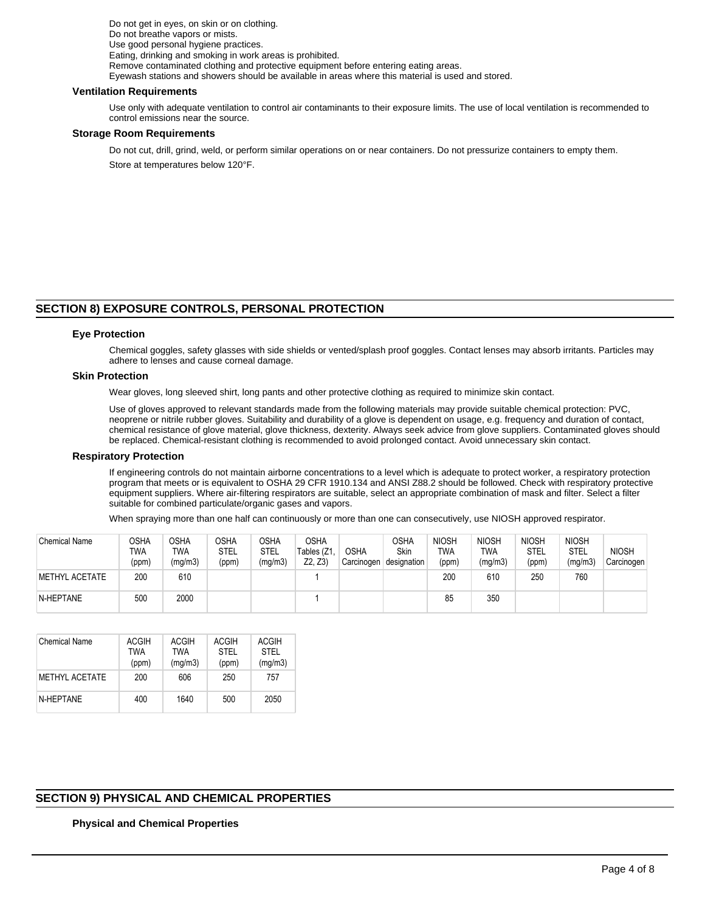Do not get in eyes, on skin or on clothing. Do not breathe vapors or mists. Use good personal hygiene practices. Eating, drinking and smoking in work areas is prohibited. Remove contaminated clothing and protective equipment before entering eating areas. Eyewash stations and showers should be available in areas where this material is used and stored.

#### **Ventilation Requirements**

Use only with adequate ventilation to control air contaminants to their exposure limits. The use of local ventilation is recommended to control emissions near the source.

#### **Storage Room Requirements**

Do not cut, drill, grind, weld, or perform similar operations on or near containers. Do not pressurize containers to empty them. Store at temperatures below 120°F.

# **SECTION 8) EXPOSURE CONTROLS, PERSONAL PROTECTION**

#### **Eye Protection**

Chemical goggles, safety glasses with side shields or vented/splash proof goggles. Contact lenses may absorb irritants. Particles may adhere to lenses and cause corneal damage.

## **Skin Protection**

Wear gloves, long sleeved shirt, long pants and other protective clothing as required to minimize skin contact.

Use of gloves approved to relevant standards made from the following materials may provide suitable chemical protection: PVC, neoprene or nitrile rubber gloves. Suitability and durability of a glove is dependent on usage, e.g. frequency and duration of contact, chemical resistance of glove material, glove thickness, dexterity. Always seek advice from glove suppliers. Contaminated gloves should be replaced. Chemical-resistant clothing is recommended to avoid prolonged contact. Avoid unnecessary skin contact.

#### **Respiratory Protection**

If engineering controls do not maintain airborne concentrations to a level which is adequate to protect worker, a respiratory protection program that meets or is equivalent to OSHA 29 CFR 1910.134 and ANSI Z88.2 should be followed. Check with respiratory protective equipment suppliers. Where air-filtering respirators are suitable, select an appropriate combination of mask and filter. Select a filter suitable for combined particulate/organic gases and vapors.

When spraying more than one half can continuously or more than one can consecutively, use NIOSH approved respirator.

| <b>Chemical Name</b> | OSHA<br>TWA<br>(ppm) | OSHA<br>TWA<br>(mg/m3) | <b>OSHA</b><br>STEL<br>(ppm) | OSHA<br>STEL<br>(mg/m3) | <b>OSHA</b><br>Tables (Z1.<br>Z2, Z3 | <b>OSHA</b><br>Carcinogen | <b>OSHA</b><br>Skin<br>designation | <b>NIOSH</b><br>twa<br>(ppm) | <b>NIOSH</b><br>TWA<br>(mg/m3) | <b>NIOSH</b><br><b>STEL</b><br>(ppm) | <b>NIOSH</b><br>STEL<br>(mg/m3) | <b>NIOSH</b><br>Carcinogen |
|----------------------|----------------------|------------------------|------------------------------|-------------------------|--------------------------------------|---------------------------|------------------------------------|------------------------------|--------------------------------|--------------------------------------|---------------------------------|----------------------------|
| METHYL ACETATE       | 200                  | 610                    |                              |                         |                                      |                           |                                    | 200                          | 610                            | 250                                  | 760                             |                            |
| N-HEPTANE            | 500                  | 2000                   |                              |                         |                                      |                           |                                    | 85                           | 350                            |                                      |                                 |                            |

| <b>Chemical Name</b> | <b>ACGIH</b><br>TWA<br>(ppm) | <b>ACGIH</b><br><b>TWA</b><br>(mg/m3) | ACGIH<br><b>STEL</b><br>(ppm) | ACGIH<br><b>STEL</b><br>(mg/m3) |
|----------------------|------------------------------|---------------------------------------|-------------------------------|---------------------------------|
| METHYL ACETATE       | 200                          | 606                                   | 250                           | 757                             |
| N-HFPTANF            | 400                          | 1640                                  | 500                           | 2050                            |

# **SECTION 9) PHYSICAL AND CHEMICAL PROPERTIES**

## **Physical and Chemical Properties**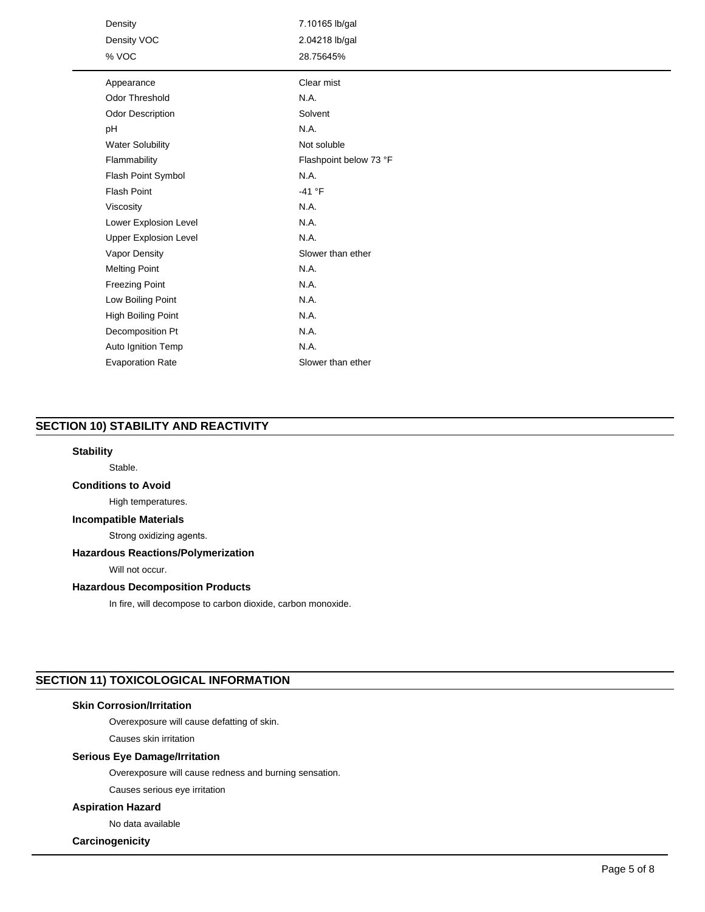| Density<br>Density VOC<br>% VOC | 7.10165 lb/gal<br>2.04218 lb/gal<br>28.75645% |
|---------------------------------|-----------------------------------------------|
| Appearance                      | Clear mist                                    |
| <b>Odor Threshold</b>           | N.A.                                          |
| Odor Description                | Solvent                                       |
| pH                              | N.A.                                          |
| <b>Water Solubility</b>         | Not soluble                                   |
| Flammability                    | Flashpoint below 73 °F                        |
| Flash Point Symbol              | N.A.                                          |
| <b>Flash Point</b>              | $-41 °F$                                      |
| Viscosity                       | N.A.                                          |
| Lower Explosion Level           | N.A.                                          |
| <b>Upper Explosion Level</b>    | N.A.                                          |
| Vapor Density                   | Slower than ether                             |
| <b>Melting Point</b>            | N.A.                                          |
| <b>Freezing Point</b>           | N.A.                                          |
| Low Boiling Point               | N.A.                                          |
| High Boiling Point              | N.A.                                          |
| Decomposition Pt                | N.A.                                          |
| Auto Ignition Temp              | N.A.                                          |
| <b>Evaporation Rate</b>         | Slower than ether                             |

# **SECTION 10) STABILITY AND REACTIVITY**

#### **Stability**

Stable.

## **Conditions to Avoid**

High temperatures.

# **Incompatible Materials**

Strong oxidizing agents.

## **Hazardous Reactions/Polymerization**

Will not occur.

## **Hazardous Decomposition Products**

In fire, will decompose to carbon dioxide, carbon monoxide.

# **SECTION 11) TOXICOLOGICAL INFORMATION**

# **Skin Corrosion/Irritation**

Overexposure will cause defatting of skin.

Causes skin irritation

## **Serious Eye Damage/Irritation**

Overexposure will cause redness and burning sensation.

Causes serious eye irritation

# **Aspiration Hazard**

No data available

# **Carcinogenicity**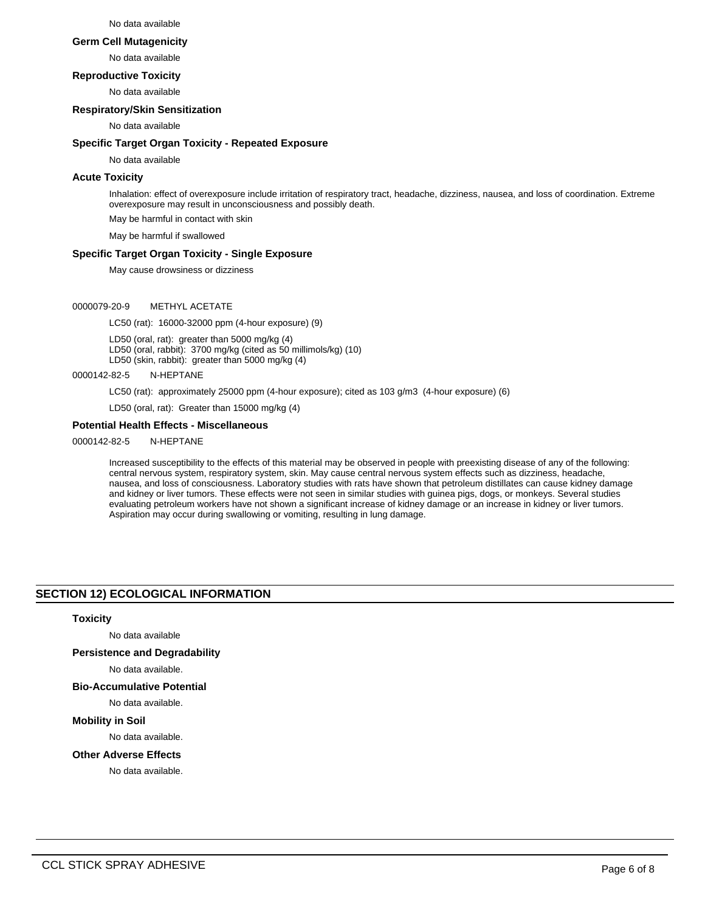#### No data available

#### **Germ Cell Mutagenicity**

No data available

#### **Reproductive Toxicity**

No data available

#### **Respiratory/Skin Sensitization**

No data available

#### **Specific Target Organ Toxicity - Repeated Exposure**

No data available

## **Acute Toxicity**

Inhalation: effect of overexposure include irritation of respiratory tract, headache, dizziness, nausea, and loss of coordination. Extreme overexposure may result in unconsciousness and possibly death.

May be harmful in contact with skin

May be harmful if swallowed

## **Specific Target Organ Toxicity - Single Exposure**

May cause drowsiness or dizziness

#### 0000079-20-9 METHYL ACETATE

LC50 (rat): 16000-32000 ppm (4-hour exposure) (9)

LD50 (oral, rat): greater than 5000 mg/kg (4) LD50 (oral, rabbit): 3700 mg/kg (cited as 50 millimols/kg) (10)

LD50 (skin, rabbit): greater than 5000 mg/kg (4)

# 0000142-82-5 N-HEPTANE

LC50 (rat): approximately 25000 ppm (4-hour exposure); cited as 103 g/m3 (4-hour exposure) (6)

LD50 (oral, rat): Greater than 15000 mg/kg (4)

## **Potential Health Effects - Miscellaneous**

0000142-82-5 N-HEPTANE

Increased susceptibility to the effects of this material may be observed in people with preexisting disease of any of the following: central nervous system, respiratory system, skin. May cause central nervous system effects such as dizziness, headache, nausea, and loss of consciousness. Laboratory studies with rats have shown that petroleum distillates can cause kidney damage and kidney or liver tumors. These effects were not seen in similar studies with guinea pigs, dogs, or monkeys. Several studies evaluating petroleum workers have not shown a significant increase of kidney damage or an increase in kidney or liver tumors. Aspiration may occur during swallowing or vomiting, resulting in lung damage.

## **SECTION 12) ECOLOGICAL INFORMATION**

#### **Toxicity**

No data available

**Persistence and Degradability**

No data available.

## **Bio-Accumulative Potential**

No data available.

# **Mobility in Soil**

No data available.

#### **Other Adverse Effects**

No data available.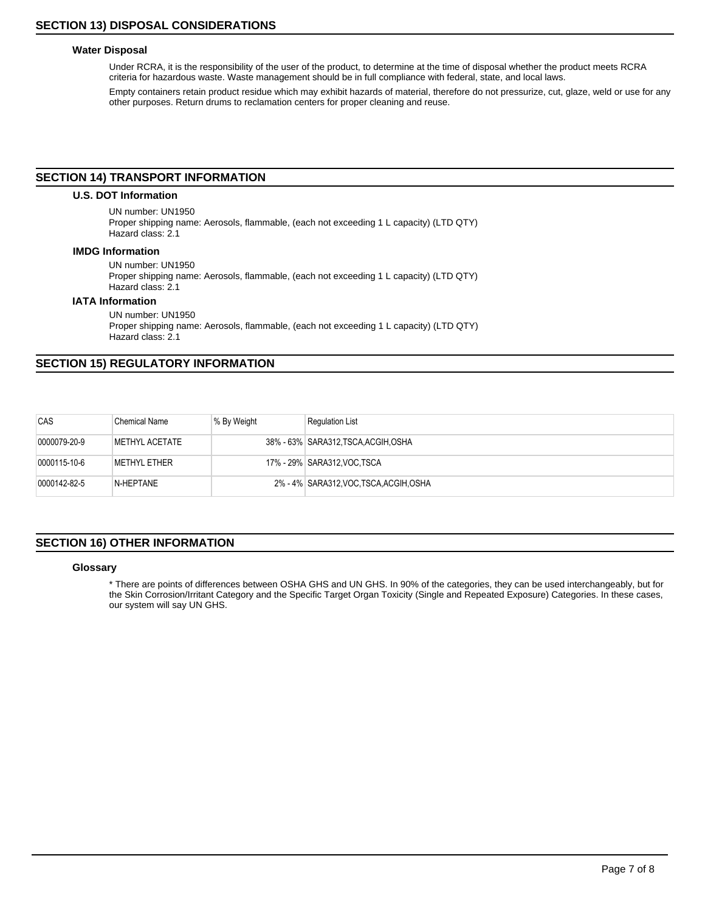# **Water Disposal**

Under RCRA, it is the responsibility of the user of the product, to determine at the time of disposal whether the product meets RCRA criteria for hazardous waste. Waste management should be in full compliance with federal, state, and local laws.

Empty containers retain product residue which may exhibit hazards of material, therefore do not pressurize, cut, glaze, weld or use for any other purposes. Return drums to reclamation centers for proper cleaning and reuse.

## **SECTION 14) TRANSPORT INFORMATION**

## **U.S. DOT Information**

UN number: UN1950 Proper shipping name: Aerosols, flammable, (each not exceeding 1 L capacity) (LTD QTY) Hazard class: 2.1

#### **IMDG Information**

UN number: UN1950 Proper shipping name: Aerosols, flammable, (each not exceeding 1 L capacity) (LTD QTY) Hazard class: 2.1

## **IATA Information**

UN number: UN1950 Proper shipping name: Aerosols, flammable, (each not exceeding 1 L capacity) (LTD QTY) Hazard class: 2.1

# **SECTION 15) REGULATORY INFORMATION**

| CAS          | <b>Chemical Name</b> | % By Weight | <b>Regulation List</b>                  |
|--------------|----------------------|-------------|-----------------------------------------|
| 0000079-20-9 | METHYL ACETATE       |             | 38% - 63%   SARA312, TSCA, ACGIH, OSHA  |
| 0000115-10-6 | <b>METHYL ETHER</b>  |             | 17% - 29%   SARA312, VOC TSCA           |
| 0000142-82-5 | N-HEPTANE            |             | 2% - 4% SARA312, VOC, TSCA, ACGIH, OSHA |

# **SECTION 16) OTHER INFORMATION**

#### **Glossary**

\* There are points of differences between OSHA GHS and UN GHS. In 90% of the categories, they can be used interchangeably, but for the Skin Corrosion/Irritant Category and the Specific Target Organ Toxicity (Single and Repeated Exposure) Categories. In these cases, our system will say UN GHS.